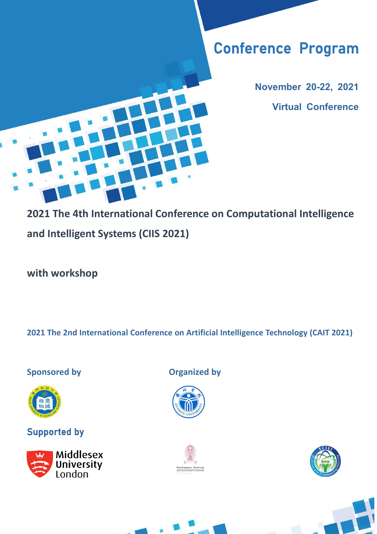# Conference Program

**November 20-22, 2021 Virtual Conference**

**2021 The 4th International Conference on Computational Intelligence and Intelligent Systems (CIIS 2021)**

**with workshop**

**2021 The 2nd International Conference on Artificial Intelligence Technology (CAIT 2021)**



### Supported by



**Sponsored by Organized by**







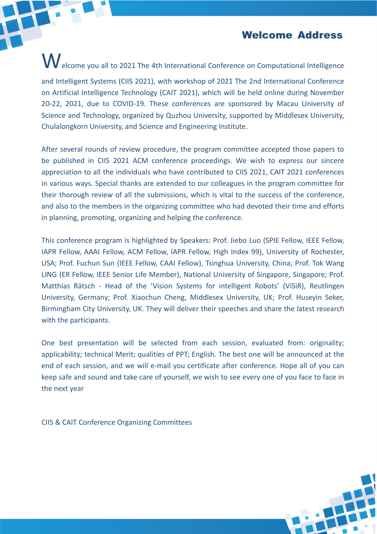Welcome Address

Welcome you all to 2021 The 4th International Conference on Computational Intelligence and Intelligent Systems (CIIS 2021), with workshop of 2021 The 2nd International Conference on Artificial Intelligence Technology (CAIT 2021), which will be held online during November 20-22, 2021, due to COVID-19. These conferences are sponsored by Macau University of Science and Technology, organized by Quzhou University, supported by Middlesex University, Chulalongkorn University, and Science and Engineering Institute.

After several rounds of review procedure, the program committee accepted those papers to be published in CIIS 2021 ACM conference proceedings. We wish to express our sincere appreciation to all the individuals who have contributed to CIIS 2021, CAIT 2021 conferences in various ways. Special thanks are extended to our colleagues in the program committee for their thorough review of all the submissions, which is vital to the success of the conference, and also to the members in the organizing committee who had devoted their time and efforts in planning, promoting, organizing and helping the conference.

This conference program is highlighted by Speakers: Prof. Jiebo Luo (SPIE Fellow, IEEE Fellow, IAPR Fellow, AAAI Fellow, ACM Fellow, IAPR Fellow, High Index 99), University of Rochester, USA; Prof. Fuchun Sun (IEEE Fellow, CAAI Fellow), Tsinghua University, China; Prof. Tok Wang LING (ER Fellow, IEEE Senior Life Member), National University of Singapore, Singapore; Prof. Matthias Rätsch - Head of the 'Vision Systems for intelligent Robots' (ViSiR), Reutlingen University, Germany; Prof. Xiaochun Cheng, Middlesex University, UK; Prof. Huseyin Seker, Birmingham City University, UK. They will deliver their speeches and share the latest research with the participants.

One best presentation will be selected from each session, evaluated from: originality; applicability; technical Merit; qualities of PPT; English. The best one will be announced at the end of each session, and we will e-mail you certificate after conference. Hope all of you can keep safe and sound and take care of yourself, we wish to see every one of you face to face in the next year

CIIS & CAIT Conference Organizing Committees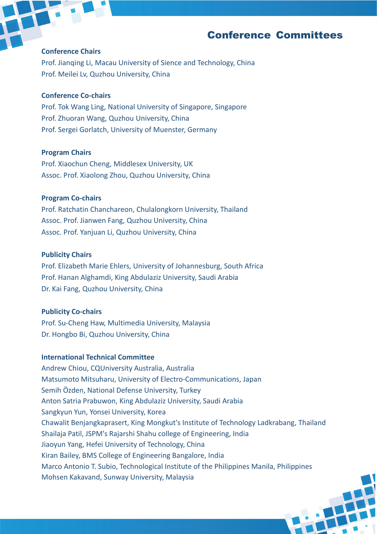#### Conference Committees

#### **Conference Chairs**

Prof. Jianqing Li, Macau University of Sience and Technology, China Prof. Meilei Lv, Quzhou University, China

#### **Conference Co-chairs**

Prof. Tok Wang Ling, National University of Singapore, Singapore Prof. Zhuoran Wang, Quzhou University, China Prof. Sergei Gorlatch, University of Muenster, Germany

#### **Program Chairs**

Prof. Xiaochun Cheng, Middlesex University, UK Assoc. Prof. Xiaolong Zhou, Quzhou University, China

#### **Program Co-chairs**

Prof. Ratchatin Chanchareon, Chulalongkorn University, Thailand Assoc. Prof. Jianwen Fang, Quzhou University, China Assoc. Prof. Yanjuan Li, Quzhou University, China

#### **Publicity Chairs**

Prof. Elizabeth Marie Ehlers, University of Johannesburg, South Africa Prof. Hanan Alghamdi, King Abdulaziz University, Saudi Arabia Dr. Kai Fang, Quzhou University, China

#### **Publicity Co-chairs**

Prof. Su-Cheng Haw, Multimedia University, Malaysia Dr. Hongbo Bi, Quzhou University, China

#### **International Technical Committee**

Andrew Chiou, CQUniversity Australia, Australia Matsumoto Mitsuharu, University of Electro-Communications, Japan Semih Özden, National Defense University, Turkey Anton Satria Prabuwon, King Abdulaziz University, Saudi Arabia Sangkyun Yun, Yonsei University, Korea Chawalit Benjangkaprasert, King Mongkut's Institute of Technology Ladkrabang, Thailand Shailaja Patil, JSPM's Rajarshi Shahu college of Engineering, India Jiaoyun Yang, Hefei University of Technology, China Kiran Bailey, BMS College of Engineering Bangalore, India Marco Antonio T. Subio, Technological Institute of the Philippines Manila, Philippines Mohsen Kakavand, Sunway University, Malaysia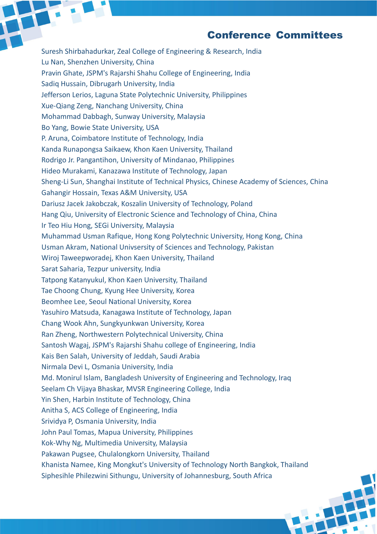#### Conference Committees

Suresh Shirbahadurkar, Zeal College of Engineering & Research, India Lu Nan, Shenzhen University, China Pravin Ghate, JSPM's Rajarshi Shahu College of Engineering, India Sadiq Hussain, Dibrugarh University, India Jefferson Lerios, Laguna State Polytechnic University, Philippines Xue-Qiang Zeng, Nanchang University, China Mohammad Dabbagh, Sunway University, Malaysia Bo Yang, Bowie State University, USA P. Aruna, Coimbatore Institute of Technology, India Kanda Runapongsa Saikaew, Khon Kaen University, Thailand Rodrigo Jr. Pangantihon, University of Mindanao, Philippines Hideo Murakami, Kanazawa Institute of Technology, Japan Sheng-Li Sun, Shanghai Institute of Technical Physics, Chinese Academy of Sciences, China Gahangir Hossain, Texas A&M University, USA Dariusz Jacek Jakobczak, Koszalin University of Technology, Poland Hang Qiu, University of Electronic Science and Technology of China, China Ir Teo Hiu Hong, SEGi University, Malaysia Muhammad Usman Rafique, Hong Kong Polytechnic University, Hong Kong, China Usman Akram, National Univsersity of Sciences and Technology, Pakistan Wiroj Taweepworadej, Khon Kaen University, Thailand Sarat Saharia, Tezpur university, India Tatpong Katanyukul, Khon Kaen University, Thailand Tae Choong Chung, Kyung Hee University, Korea Beomhee Lee, Seoul National University, Korea Yasuhiro Matsuda, Kanagawa Institute of Technology, Japan Chang Wook Ahn, Sungkyunkwan University, Korea Ran Zheng, Northwestern Polytechnical University, China Santosh Wagaj, JSPM's Rajarshi Shahu college of Engineering, India Kais Ben Salah, University of Jeddah, Saudi Arabia Nirmala Devi L, Osmania University, India Md. Monirul Islam, Bangladesh University of Engineering and Technology, Iraq Seelam Ch Vijaya Bhaskar, MVSR Engineering College, India Yin Shen, Harbin Institute of Technology, China Anitha S, ACS College of Engineering, India Srividya P, Osmania University, India John Paul Tomas, Mapua University, Philippines Kok-Why Ng, Multimedia University, Malaysia Pakawan Pugsee, Chulalongkorn University, Thailand Khanista Namee, King Mongkut's University of Technology North Bangkok, Thailand Siphesihle Philezwini Sithungu, University of Johannesburg, South Africa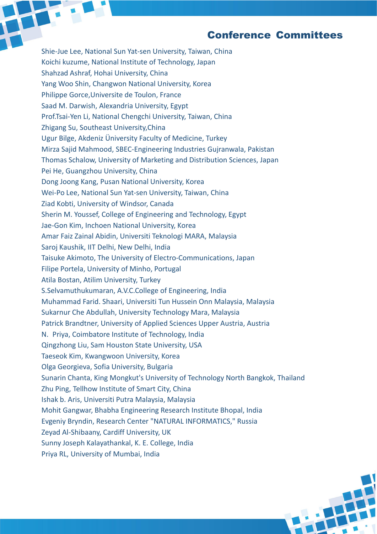#### Conference Committees

Shie-Jue Lee, National Sun Yat-sen University, Taiwan, China Koichi kuzume, National Institute of Technology, Japan Shahzad Ashraf, Hohai University, China Yang Woo Shin, Changwon National University, Korea Philippe Gorce,Universite de Toulon, France Saad M. Darwish, Alexandria University, Egypt Prof.Tsai-Yen Li, National Chengchi University, Taiwan, China Zhigang Su, Southeast University,China Ugur Bilge, Akdeniz Üniversity Faculty of Medicine, Turkey Mirza Sajid Mahmood, SBEC-Engineering Industries Gujranwala, Pakistan Thomas Schalow, University of Marketing and Distribution Sciences, Japan Pei He, Guangzhou University, China Dong Joong Kang, Pusan National University, Korea Wei-Po Lee, National Sun Yat-sen University, Taiwan, China Ziad Kobti, University of Windsor, Canada Sherin M. Youssef, College of Engineering and Technology, Egypt Jae-Gon Kim, Inchoen National University, Korea Amar Faiz Zainal Abidin, Universiti Teknologi MARA, Malaysia Saroj Kaushik, IIT Delhi, New Delhi, India Taisuke Akimoto, The University of Electro-Communications, Japan Filipe Portela, University of Minho, Portugal Atila Bostan, Atilim University, Turkey S.Selvamuthukumaran, A.V.C.College of Engineering, India Muhammad Farid. Shaari, Universiti Tun Hussein Onn Malaysia, Malaysia Sukarnur Che Abdullah, University Technology Mara, Malaysia Patrick Brandtner, University of Applied Sciences Upper Austria, Austria N. Priya, Coimbatore Institute of Technology, India Qingzhong Liu, Sam Houston State University, USA Taeseok Kim, Kwangwoon University, Korea Olga Georgieva, Sofia University, Bulgaria Sunarin Chanta, King Mongkut's University of Technology North Bangkok, Thailand Zhu Ping, Tellhow Institute of Smart City, China Ishak b. Aris, Universiti Putra Malaysia, Malaysia Mohit Gangwar, Bhabha Engineering Research Institute Bhopal, India Evgeniy Bryndin, Research Center "NATURAL INFORMATICS," Russia Zeyad Al-Shibaany, Cardiff University, UK Sunny Joseph Kalayathankal, K. E. College, India Priya RL, University of Mumbai, India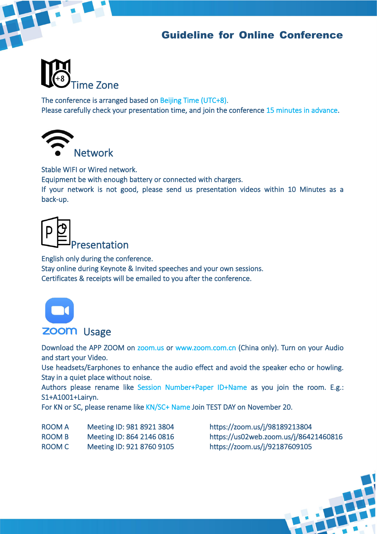### Guideline for Online Conference



The conference is arranged based on Beijing Time (UTC+8). Please carefully check your presentation time, and join the conference 15 minutes in advance.



Stable WIFI or Wired network.

Equipment be with enough battery or connected with chargers.

If your network is not good, please send us presentation videos within 10 Minutes as a back-up.

**resentation** 

English only during the conference.

Stay online during Keynote & Invited speeches and your own sessions. Certificates & receipts will be emailed to you after the conference.



#### **ZOOM** Usage

Download the APP ZOOM on zoom.us or www.zoom.com.cn (China only). Turn on your Audio and start your Video.

Use headsets/Earphones to enhance the audio effect and avoid the speaker echo or howling. Stay in a quiet place without noise.

Authors please rename like Session Number+Paper ID+Name as you join the room. E.g.: S1+A1001+Lairyn.

For KN or SC, please rename like KN/SC+ Name Join TEST DAY on November 20.

| <b>ROOM A</b> | Meeting ID: 981 8921 3804 |
|---------------|---------------------------|
| ROOM B        | Meeting ID: 864 2146 0816 |
| ROOM C        | Meeting ID: 921 8760 9105 |

https://zoom.us/j/98189213804 https://us02web.zoom.us/j/86421460816 https://zoom.us/j/92187609105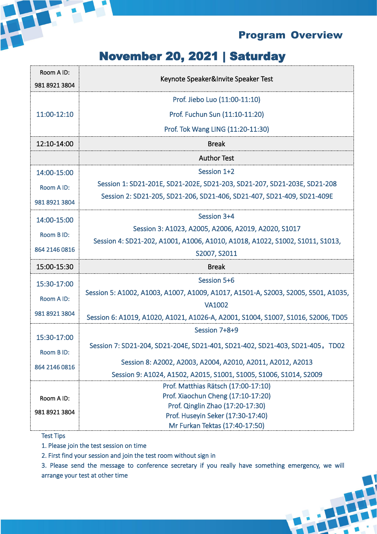

## November 20, 2021 | Saturday

| Room A ID:<br>981 8921 3804 | Keynote Speaker&Invite Speaker Test                                               |
|-----------------------------|-----------------------------------------------------------------------------------|
|                             | Prof. Jiebo Luo (11:00-11:10)                                                     |
| 11:00-12:10                 | Prof. Fuchun Sun (11:10-11:20)                                                    |
|                             | Prof. Tok Wang LING (11:20-11:30)                                                 |
| 12:10-14:00                 | <b>Break</b>                                                                      |
|                             | <b>Author Test</b>                                                                |
| 14:00-15:00                 | Session 1+2                                                                       |
| Room A ID:                  | Session 1: SD21-201E, SD21-202E, SD21-203, SD21-207, SD21-203E, SD21-208          |
| 981 8921 3804               | Session 2: SD21-205, SD21-206, SD21-406, SD21-407, SD21-409, SD21-409E            |
| 14:00-15:00                 | Session 3+4                                                                       |
| Room B ID:                  | Session 3: A1023, A2005, A2006, A2019, A2020, S1017                               |
|                             | Session 4: SD21-202, A1001, A1006, A1010, A1018, A1022, S1002, S1011, S1013,      |
| 864 2146 0816               | S2007, S2011                                                                      |
| 15:00-15:30                 | <b>Break</b>                                                                      |
| 15:30-17:00                 | Session 5+6                                                                       |
| Room A ID:                  | Session 5: A1002, A1003, A1007, A1009, A1017, A1501-A, S2003, S2005, S501, A1035, |
|                             | <b>VA1002</b>                                                                     |
| 981 8921 3804               | Session 6: A1019, A1020, A1021, A1026-A, A2001, S1004, S1007, S1016, S2006, TD05  |
|                             | Session 7+8+9                                                                     |
| 15:30-17:00                 | Session 7: SD21-204, SD21-204E, SD21-401, SD21-402, SD21-403, SD21-405, TD02      |
| Room B ID:                  |                                                                                   |
| 864 2146 0816               | Session 8: A2002, A2003, A2004, A2010, A2011, A2012, A2013                        |
|                             | Session 9: A1024, A1502, A2015, S1001, S1005, S1006, S1014, S2009                 |
|                             | Prof. Matthias Rätsch (17:00-17:10)<br>Prof. Xiaochun Cheng (17:10-17:20)         |
| Room A ID:                  | Prof. Qinglin Zhao (17:20-17:30)                                                  |
| 981 8921 3804               | Prof. Huseyin Seker (17:30-17:40)                                                 |
|                             | Mr Furkan Tektas (17:40-17:50)                                                    |

#### Test Tips

1. Please join the test session on time

2. First find your session and join the test room without sign in

3. Please send the message to conference secretary if you really have something emergency, we will arrange your test at other time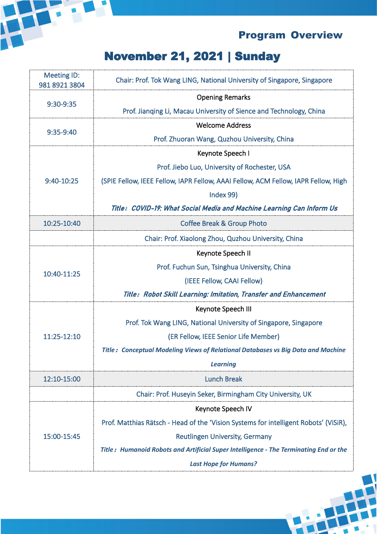

## November 21, 2021 | Sunday

| Meeting ID:<br>981 8921 3804 | Chair: Prof. Tok Wang LING, National University of Singapore, Singapore               |
|------------------------------|---------------------------------------------------------------------------------------|
| 9:30-9:35                    | <b>Opening Remarks</b>                                                                |
|                              | Prof. Jianqing Li, Macau University of Sience and Technology, China                   |
|                              | <b>Welcome Address</b>                                                                |
| 9:35-9:40                    | Prof. Zhuoran Wang, Quzhou University, China                                          |
|                              | Keynote Speech I                                                                      |
|                              | Prof. Jiebo Luo, University of Rochester, USA                                         |
| 9:40-10:25                   | (SPIE Fellow, IEEE Fellow, IAPR Fellow, AAAI Fellow, ACM Fellow, IAPR Fellow, High    |
|                              | Index 99)                                                                             |
|                              | Title: COVID-19: What Social Media and Machine Learning Can Inform Us                 |
| 10:25-10:40                  | <b>Coffee Break &amp; Group Photo</b>                                                 |
|                              | Chair: Prof. Xiaolong Zhou, Quzhou University, China                                  |
|                              | Keynote Speech II                                                                     |
|                              | Prof. Fuchun Sun, Tsinghua University, China                                          |
| 10:40-11:25                  | (IEEE Fellow, CAAI Fellow)                                                            |
|                              | Title: Robot Skill Learning: Imitation, Transfer and Enhancement                      |
|                              | Keynote Speech III                                                                    |
|                              | Prof. Tok Wang LING, National University of Singapore, Singapore                      |
| 11:25-12:10                  | (ER Fellow, IEEE Senior Life Member)                                                  |
|                              | Title: Conceptual Modeling Views of Relational Databases vs Big Data and Machine      |
|                              | <b>Learning</b>                                                                       |
| 12:10-15:00                  | <b>Lunch Break</b>                                                                    |
|                              | Chair: Prof. Huseyin Seker, Birmingham City University, UK                            |
|                              | Keynote Speech IV                                                                     |
| 15:00-15:45                  | Prof. Matthias Rätsch - Head of the 'Vision Systems for intelligent Robots' (ViSiR),  |
|                              | <b>Reutlingen University, Germany</b>                                                 |
|                              | Title: Humanoid Robots and Artificial Super Intelligence - The Terminating End or the |
|                              | <b>Last Hope for Humans?</b>                                                          |
|                              |                                                                                       |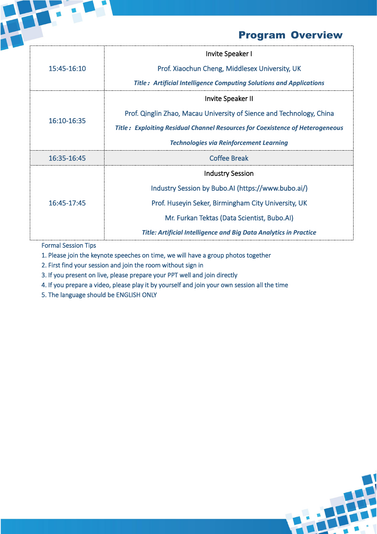|             | Invite Speaker I                                                                     |
|-------------|--------------------------------------------------------------------------------------|
| 15:45-16:10 | Prof. Xiaochun Cheng, Middlesex University, UK                                       |
|             | <b>Title: Artificial Intelligence Computing Solutions and Applications</b>           |
| 16:10-16:35 | Invite Speaker II                                                                    |
|             | Prof. Qinglin Zhao, Macau University of Sience and Technology, China                 |
|             | <b>Title: Exploiting Residual Channel Resources for Coexistence of Heterogeneous</b> |
|             | <b>Technologies via Reinforcement Learning</b>                                       |
| 16:35-16:45 | <b>Coffee Break</b>                                                                  |
|             | <b>Industry Session</b>                                                              |
| 16:45-17:45 | Industry Session by Bubo.AI (https://www.bubo.ai/)                                   |
|             | Prof. Huseyin Seker, Birmingham City University, UK                                  |
|             | Mr. Furkan Tektas (Data Scientist, Bubo.AI)                                          |
|             | <b>Title: Artificial Intelligence and Big Data Analytics in Practice</b>             |
|             |                                                                                      |

Formal Session Tips

1. Please join the keynote speeches on time, we will have a group photos together

2. First find your session and join the room without sign in

3. If you present on live, please prepare your PPT well and join directly

4. If you prepare a video, please play it by yourself and join your own session all the time

5. The language should be ENGLISH ONLY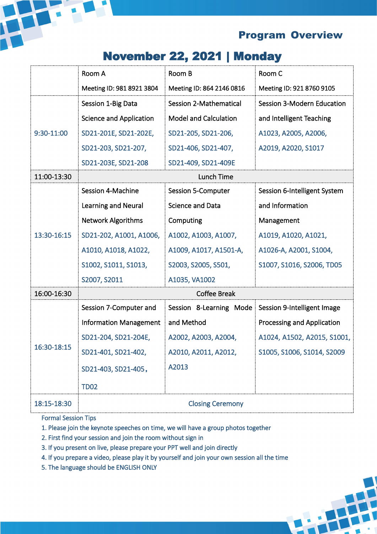

## November 22, 2021 | Monday

|             | Room A                         | Room B                        | Room C                       |
|-------------|--------------------------------|-------------------------------|------------------------------|
|             | Meeting ID: 981 8921 3804      | Meeting ID: 864 2146 0816     | Meeting ID: 921 8760 9105    |
|             | Session 1-Big Data             | <b>Session 2-Mathematical</b> | Session 3-Modern Education   |
|             | <b>Science and Application</b> | <b>Model and Calculation</b>  | and Intelligent Teaching     |
| 9:30-11:00  | SD21-201E, SD21-202E,          | SD21-205, SD21-206,           | A1023, A2005, A2006,         |
|             | SD21-203, SD21-207,            | SD21-406, SD21-407,           | A2019, A2020, S1017          |
|             | SD21-203E, SD21-208            | SD21-409, SD21-409E           |                              |
| 11:00-13:30 |                                | Lunch Time                    |                              |
|             | Session 4-Machine              | <b>Session 5-Computer</b>     | Session 6-Intelligent System |
|             | Learning and Neural            | <b>Science and Data</b>       | and Information              |
|             | <b>Network Algorithms</b>      | Computing                     | Management                   |
| 13:30-16:15 | SD21-202, A1001, A1006,        | A1002, A1003, A1007,          | A1019, A1020, A1021,         |
|             | A1010, A1018, A1022,           | A1009, A1017, A1501-A,        | A1026-A, A2001, S1004,       |
|             | S1002, S1011, S1013,           | S2003, S2005, S501,           | S1007, S1016, S2006, TD05    |
|             | S2007, S2011                   | A1035, VA1002                 |                              |
| 16:00-16:30 |                                | <b>Coffee Break</b>           |                              |
|             | Session 7-Computer and         | Session 8-Learning Mode       | Session 9-Intelligent Image  |
|             | <b>Information Management</b>  | and Method                    | Processing and Application   |
|             | SD21-204, SD21-204E,           | A2002, A2003, A2004,          | A1024, A1502, A2015, S1001,  |
| 16:30-18:15 | SD21-401, SD21-402,            | A2010, A2011, A2012,          | S1005, S1006, S1014, S2009   |
|             | SD21-403, SD21-405,            | A2013                         |                              |
|             | <b>TD02</b>                    |                               |                              |
| 18:15-18:30 |                                | <b>Closing Ceremony</b>       |                              |

----------------------------

----------------------------------

Formal Session Tips

1. Please join the keynote speeches on time, we will have a group photos together

- 2. First find your session and join the room without sign in
- 3. If you present on live, please prepare your PPT well and join directly
- 4. If you prepare a video, please play it by yourself and join your own session all the time
- 5. The language should be ENGLISH ONLY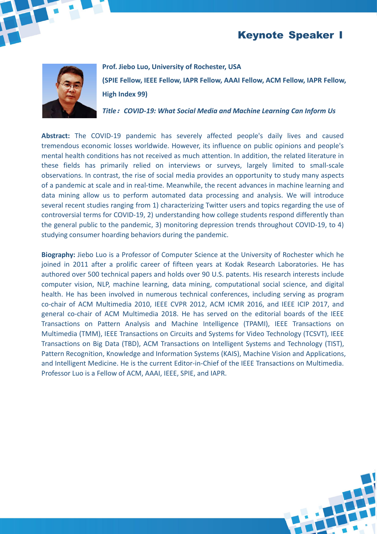



#### **Prof. Jiebo Luo, University of Rochester, USA (SPIE Fellow, IEEE Fellow, IAPR Fellow, AAAI Fellow, ACM Fellow, IAPR Fellow,**

**High Index 99)**

*Title***:***COVID-19: What Social Media and Machine Learning Can Inform Us*

**Abstract:** The COVID-19 pandemic has severely affected people's daily lives and caused tremendous economic losses worldwide. However, its influence on public opinions and people's mental health conditions has not received as much attention. In addition, the related literature in these fields has primarily relied on interviews or surveys, largely limited to small-scale observations. In contrast, the rise of social media provides an opportunity to study many aspects of a pandemic at scale and in real-time. Meanwhile, the recent advances in machine learning and data mining allow us to perform automated data processing and analysis. We will introduce several recent studies ranging from 1) characterizing Twitter users and topics regarding the use of controversial terms for COVID-19, 2) understanding how college students respond differently than the general public to the pandemic, 3) monitoring depression trends throughout COVID-19, to 4) studying consumer hoarding behaviors during the pandemic.

**Biography:** Jiebo Luo is a Professor of Computer Science at the University of Rochester which he joined in 2011 after a prolific career of fifteen years at Kodak Research Laboratories. He has authored over 500 technical papers and holds over 90 U.S. patents. His research interests include computer vision, NLP, machine learning, data mining, computational social science, and digital health. He has been involved in numerous technical conferences, including serving as program co-chair of ACM Multimedia 2010, IEEE CVPR 2012, ACM ICMR 2016, and IEEE ICIP 2017, and general co-chair of ACM Multimedia 2018. He has served on the editorial boards of the IEEE Transactions on Pattern Analysis and Machine Intelligence (TPAMI), IEEE Transactions on Multimedia (TMM), IEEE Transactions on Circuits and Systems for Video Technology (TCSVT), IEEE Transactions on Big Data (TBD), ACM Transactions on Intelligent Systems and Technology (TIST), Pattern Recognition, Knowledge and Information Systems (KAIS), Machine Vision and Applications, and Intelligent Medicine. He is the current Editor-in-Chief of the IEEE Transactions on Multimedia. Professor Luo is a Fellow of ACM, AAAI, IEEE, SPIE, and IAPR.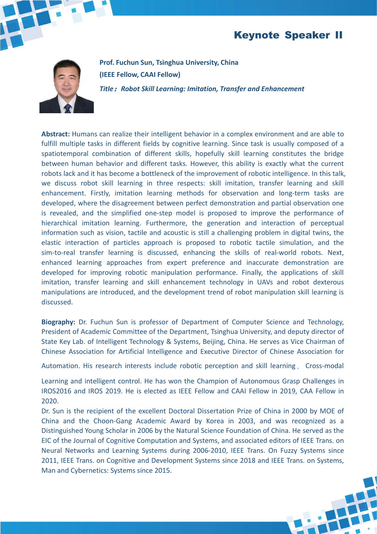#### Keynote Speaker II



**Prof. Fuchun Sun, Tsinghua University, China (IEEE Fellow, CAAI Fellow)** *Title***:***Robot SkillLearning: Imitation, Transfer and Enhancement*

**Abstract:** Humans can realize their intelligent behavior in a complex environment and are able to fulfill multiple tasks in different fields by cognitive learning. Since task is usually composed of a spatiotemporal combination of different skills, hopefully skill learning constitutes the bridge between human behavior and different tasks. However, this ability is exactly what the current robots lack and it has become a bottleneck of the improvement of robotic intelligence. In this talk, we discuss robot skill learning in three respects: skill imitation, transfer learning and skill enhancement. Firstly, imitation learning methods for observation and long-term tasks are developed, where the disagreement between perfect demonstration and partial observation one is revealed, and the simplified one-step model is proposed to improve the performance of hierarchical imitation learning. Furthermore, the generation and interaction of perceptual information such as vision, tactile and acoustic is still a challenging problem in digital twins, the elastic interaction of particles approach is proposed to robotic tactile simulation, and the sim-to-real transfer learning is discussed, enhancing the skills of real-world robots. Next, enhanced learning approaches from expert preference and inaccurate demonstration are developed for improving robotic manipulation performance. Finally, the applications of skill imitation, transfer learning and skill enhancement technology in UAVs and robot dexterous manipulations are introduced, and the development trend of robot manipulation skill learning is discussed.

**Biography:** Dr. Fuchun Sun is professor of Department of Computer Science and Technology, President of Academic Committee of the Department, Tsinghua University, and deputy director of State Key Lab. of Intelligent Technology & Systems, Beijing, China. He serves as Vice Chairman of Chinese Association for Artificial Intelligence and Executive Director of Chinese Association for

Automation. His research interests include robotic perception and skill learning, Cross-modal

Learning and intelligent control. He has won the Champion of Autonomous Grasp Challenges in IROS2016 and IROS 2019. He is elected as IEEE Fellow and CAAI Fellow in 2019, CAA Fellow in 2020.

Dr. Sun is the recipient of the excellent Doctoral Dissertation Prize of China in 2000 by MOE of China and the Choon-Gang Academic Award by Korea in 2003, and was recognized as a Distinguished Young Scholar in 2006 by the Natural Science Foundation of China. He served as the EIC of the Journal of Cognitive Computation and Systems, and associated editors of IEEE Trans. on Neural Networks and Learning Systems during 2006-2010, IEEE Trans. On Fuzzy Systems since 2011, IEEE Trans. on Cognitive and Development Systems since 2018 and IEEE Trans. on Systems, Man and Cybernetics: Systems since 2015.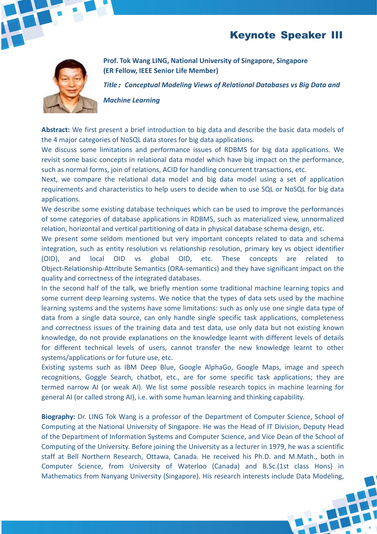#### Keynote Speaker III



**Prof. Tok Wang LING, National University of Singapore, Singapore (ER Fellow, IEEE Senior Life Member)**

*Title***:***Conceptual Modeling Views of Relational Databases vs Big Data and*

*Machine Learning*

**Abstract:** We first present a brief introduction to big data and describe the basic data models of the 4 major categories of NoSQL data stores for big data applications.

We discuss some limitations and performance issues of RDBMS for big data applications. We revisit some basic concepts in relational data model which have big impact on the performance, such as normal forms, join of relations, ACID for handling concurrent transactions, etc.

Next, we compare the relational data model and big data model using a set of application requirements and characteristics to help users to decide when to use SQL or NoSQL for big data applications.

We describe some existing database techniques which can be used to improve the performances of some categories of database applications in RDBMS, such as materialized view, unnormalized relation, horizontal and vertical partitioning of data in physical database schema design, etc.

We present some seldom mentioned but very important concepts related to data and schema integration, such as entity resolution vs relationship resolution, primary key vs object identifier (OID), and local OID vs global OID, etc. These concepts are related to Object-Relationship-Attribute Semantics (ORA-semantics) and they have significant impact on the quality and correctness of the integrated databases.

In the second half of the talk, we briefly mention some traditional machine learning topics and some current deep learning systems. We notice that the types of data sets used by the machine learning systems and the systems have some limitations: such as only use one single data type of data from a single data source, can only handle single specific task applications, completeness and correctness issues of the training data and test data, use only data but not existing known knowledge, do not provide explanations on the knowledge learnt with different levels of details for different technical levels of users, cannot transfer the new knowledge learnt to other systems/applications or for future use, etc.

Existing systems such as IBM Deep Blue, Google AlphaGo, Google Maps, image and speech recognitions, Goggle Search, chatbot, etc., are for some specific task applications; they are termed narrow AI (or weak AI). We list some possible research topics in machine learning for general AI (or called strong AI), i.e. with some human learning and thinking capability.

**Biography:** Dr. LING Tok Wang is a professor of the Department of Computer Science, School of Computing at the National University of Singapore. He was the Head of IT Division, Deputy Head of the Department of Information Systems and Computer Science, and Vice Dean of the Schoolof Computing of the University. Before joining the University as a lecturer in 1979, he was a scientific staff at Bell Northern Research, Ottawa, Canada. He received his Ph.D. and M.Math., both in Computer Science, from University of Waterloo (Canada) and B.Sc.(1st class Hons) in Mathematics from Nanyang University (Singapore). His research interests include Data Modeling,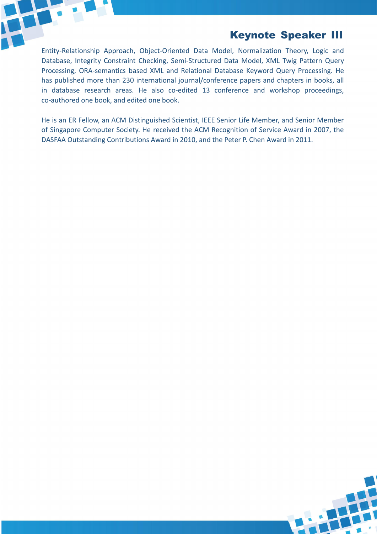

### Keynote Speaker III

Entity-Relationship Approach, Object-Oriented Data Model, Normalization Theory, Logic and Database, Integrity Constraint Checking, Semi-Structured Data Model, XML Twig Pattern Query Processing, ORA-semantics based XML and Relational Database Keyword Query Processing. He has published more than 230 international journal/conference papers and chapters in books, all in database research areas. He also co-edited 13 conference and workshop proceedings, co-authored one book, and edited one book.

He is an ER Fellow, an ACM Distinguished Scientist, IEEE Senior Life Member, and Senior Member of Singapore Computer Society. He received the ACM Recognition of Service Award in 2007, the DASFAA Outstanding Contributions Award in 2010, and the Peter P. Chen Award in 2011.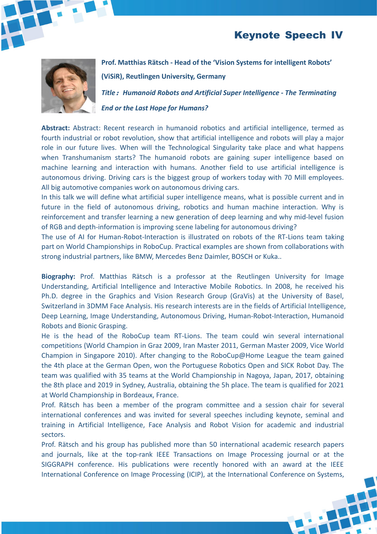#### Keynote Speech IV



**Prof. Matthias Rätsch - Head of the 'Vision Systems for intelligent Robots' (ViSiR), Reutlingen University, Germany**

*Title***:***Humanoid Robots and Artificial Super Intelligence - The Terminating*

*End or the Last Hope for Humans?*

**Abstract:** Abstract: Recent research in humanoid robotics and artificial intelligence, termed as fourth industrial or robot revolution, show that artificial intelligence and robots will play a major role in our future lives. When will the Technological Singularity take place and what happens when Transhumanism starts? The humanoid robots are gaining super intelligence based on machine learning and interaction with humans. Another field to use artificial intelligence is autonomous driving. Driving cars is the biggest group of workers today with 70 Mill employees. All big automotive companies work on autonomous driving cars.

In this talk we will define what artificial super intelligence means, what is possible current and in future in the field of autonomous driving, robotics and human machine interaction. Why is reinforcement and transfer learning a new generation of deep learning and why mid-level fusion of RGB and depth-information is improving scene labeling for autonomous driving?

The use of AI for Human-Robot-Interaction is illustrated on robots of the RT-Lions team taking part on World Championships in RoboCup. Practical examples are shown from collaborations with strong industrial partners, like BMW, Mercedes Benz Daimler, BOSCH or Kuka..

**Biography:** Prof. Matthias Rätsch is a professor at the Reutlingen University for Image Understanding, Artificial Intelligence and Interactive Mobile Robotics. In 2008, he received his Ph.D. degree in the Graphics and Vision Research Group (GraVis) at the University of Basel, Switzerland in 3DMM Face Analysis. His research interests are in the fields of Artificial Intelligence, Deep Learning, Image Understanding, Autonomous Driving, Human-Robot-Interaction, Humanoid Robots and Bionic Grasping.

He is the head of the RoboCup team RT-Lions. The team could win several international competitions (World Champion in Graz 2009, Iran Master 2011, German Master 2009, Vice World Champion in Singapore 2010). After changing to the RoboCup@Home League the team gained the 4th place at the German Open, won the Portuguese Robotics Open and SICK Robot Day. The team was qualified with 35 teams at the World Championship in Nagoya, Japan, 2017, obtaining the 8th place and 2019 in Sydney, Australia, obtaining the 5h place. The team is qualified for 2021 at World Championship in Bordeaux, France.

Prof. Rätsch has been a member of the program committee and a session chair for several international conferences and was invited for several speeches including keynote, seminal and training in Artificial Intelligence, Face Analysis and Robot Vision for academic and industrial sectors.

Prof. Rätsch and his group has published more than 50 international academic research papers and journals, like at the top-rank IEEE Transactions on Image Processing journal or at the SIGGRAPH conference. His publications were recently honored with an award at the IEEE International Conference on Image Processing (ICIP), at the International Conference on Systems,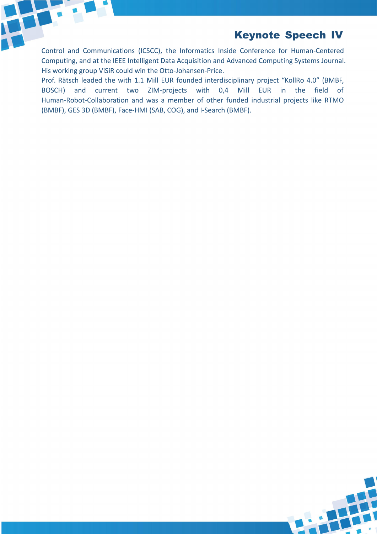Keynote Speech IV

Control and Communications (ICSCC), the Informatics Inside Conference for Human-Centered Computing, and at the IEEE Intelligent Data Acquisition and Advanced Computing Systems Journal. His working group ViSiR could win the Otto-Johansen-Price.

Prof. Rätsch leaded the with 1.1 Mill EUR founded interdisciplinary project "KollRo 4.0" (BMBF, BOSCH) and current two ZIM-projects with 0,4 Mill EUR in the field of Human-Robot-Collaboration and was a member of other funded industrial projects like RTMO (BMBF), GES 3D (BMBF), Face-HMI (SAB, COG), and I-Search (BMBF).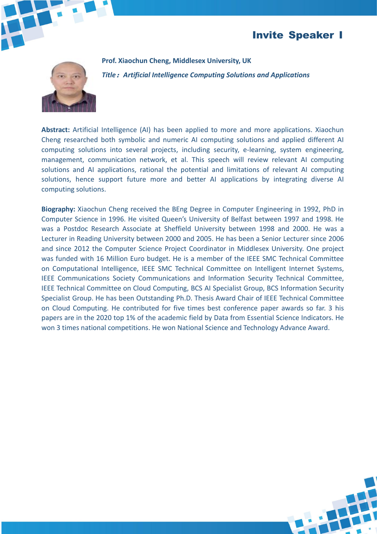#### Invite Speaker I



**Prof. Xiaochun Cheng, Middlesex University, UK** *Title***:***Artificial Intelligence Computing Solutions and Applications*

**Abstract:** Artificial Intelligence (AI) has been applied to more and more applications. Xiaochun Cheng researched both symbolic and numeric AI computing solutions and applied different AI computing solutions into several projects, including security, e-learning, system engineering, management, communication network, et al. This speech will review relevant AI computing solutions and AI applications, rational the potential and limitations of relevant AI computing solutions, hence support future more and better AI applications by integrating diverse AI computing solutions.

**Biography:** Xiaochun Cheng received the BEng Degree in Computer Engineering in 1992, PhD in Computer Science in 1996. He visited Queen's University of Belfast between 1997 and 1998. He was a Postdoc Research Associate at Sheffield University between 1998 and 2000. He was a Lecturer in Reading University between 2000 and 2005. He has been a Senior Lecturer since 2006 and since 2012 the Computer Science Project Coordinator in Middlesex University. One project was funded with 16 Million Euro budget. He is a member of the IEEE SMC Technical Committee on Computational Intelligence, IEEE SMC Technical Committee on Intelligent Internet Systems, IEEE Communications Society Communications and Information Security Technical Committee, IEEE Technical Committee on Cloud Computing, BCS AI Specialist Group, BCS Information Security Specialist Group. He has been Outstanding Ph.D. Thesis Award Chair of IEEE Technical Committee on Cloud Computing. He contributed for five times best conference paper awards so far. 3 his papers are in the 2020 top 1% of the academic field by Data from Essential Science Indicators. He won 3 times national competitions. He won National Science and Technology Advance Award.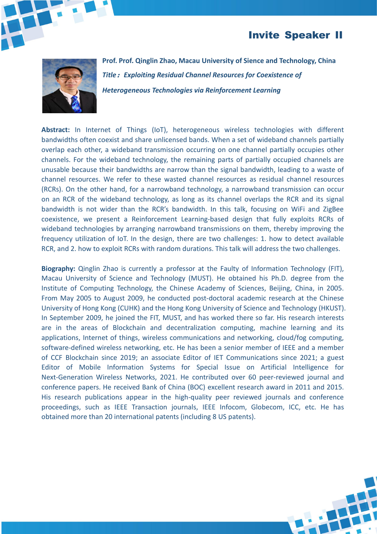#### Invite Speaker II



**Prof. Prof. Qinglin Zhao, Macau University of Sience and Technology, China** *Title***:***Exploiting Residual Channel Resources for Coexistence of Heterogeneous Technologies via Reinforcement Learning*

**Abstract:** In Internet of Things (IoT), heterogeneous wireless technologies with different bandwidths often coexist and share unlicensed bands. When a set of wideband channels partially overlap each other, a wideband transmission occurring on one channel partially occupies other channels. For the wideband technology, the remaining parts of partially occupied channels are unusable because their bandwidths are narrow than the signal bandwidth, leading to a waste of channel resources. We refer to these wasted channel resources as residual channel resources (RCRs). On the other hand, for a narrowband technology, a narrowband transmission can occur on an RCR of the wideband technology, as long as its channel overlaps the RCR and its signal bandwidth is not wider than the RCR's bandwidth. In this talk, focusing on WiFi and ZigBee coexistence, we present a Reinforcement Learning-based design that fully exploits RCRs of wideband technologies by arranging narrowband transmissions on them, thereby improving the frequency utilization of IoT. In the design, there are two challenges: 1. how to detect available RCR, and 2. how to exploit RCRs with random durations. This talk will address the two challenges.

**Biography:** Qinglin Zhao is currently a professor at the Faulty of Information Technology (FIT), Macau University of Science and Technology (MUST). He obtained his Ph.D. degree from the Institute of Computing Technology, the Chinese Academy of Sciences, Beijing, China, in 2005. From May 2005 to August 2009, he conducted post-doctoral academic research at the Chinese University of Hong Kong (CUHK) and the Hong Kong University of Science and Technology (HKUST). In September 2009, he joined the FIT, MUST, and has worked there so far. His research interests are in the areas of Blockchain and decentralization computing, machine learning and its applications, Internet of things, wireless communications and networking, cloud/fog computing, software-defined wireless networking, etc. He has been a senior member of IEEE and a member of CCF Blockchain since 2019; an associate Editorof IET Communications since 2021; a guest Editor of Mobile Information Systems for Special Issue on Artificial Intelligence for Next-Generation Wireless Networks, 2021. He contributed over 60 peer-reviewed journal and conference papers. He received Bank of China (BOC) excellent research award in 2011 and 2015. His research publications appear in the high-quality peer reviewed journals and conference proceedings, such as IEEE Transaction journals, IEEE Infocom, Globecom, ICC, etc. He has obtained more than 20 international patents (including 8 US patents).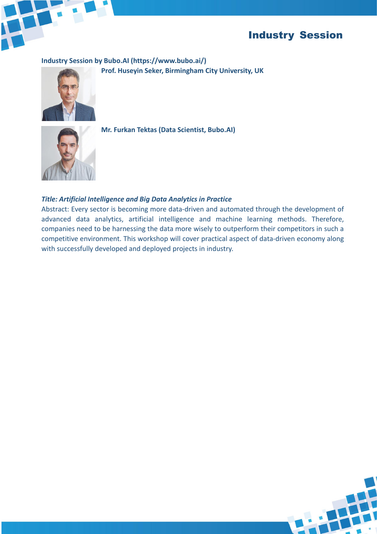

#### Industry Session

**Industry Session byBubo.AI (https://www.bubo.ai/)**

**Prof. Huseyin Seker, Birmingham City University, UK**





**Mr. Furkan Tektas (Data Scientist, Bubo.AI)**

#### *Title: Artificial Intelligence and Big Data Analytics in Practice*

Abstract: Every sector is becoming more data-driven and automated through the development of advanced data analytics, artificial intelligence and machine learning methods. Therefore, companies need to be harnessing the data more wisely to outperform their competitors in such a competitive environment. This workshop will cover practical aspect of data-driven economy along with successfully developed and deployed projects in industry.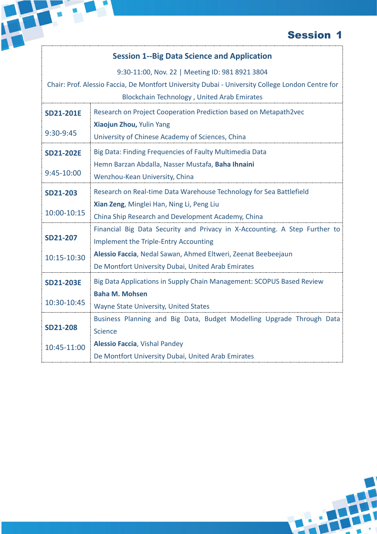#### **Session 1--Big Data Science and Application**

H

9:30-11:00, Nov. 22 | Meeting ID: 981 8921 3804

|                  | Chair: Prof. Alessio Faccia, De Montfort University Dubai - University College London Centre for |
|------------------|--------------------------------------------------------------------------------------------------|
|                  | Blockchain Technology, United Arab Emirates                                                      |
| <b>SD21-201E</b> | Research on Project Cooperation Prediction based on Metapath2vec                                 |
|                  | Xiaojun Zhou, Yulin Yang                                                                         |
| 9:30-9:45        | University of Chinese Academy of Sciences, China                                                 |
| <b>SD21-202E</b> | Big Data: Finding Frequencies of Faulty Multimedia Data                                          |
|                  | Hemn Barzan Abdalla, Nasser Mustafa, Baha Ihnaini                                                |
| 9:45-10:00       | Wenzhou-Kean University, China                                                                   |
| <b>SD21-203</b>  | Research on Real-time Data Warehouse Technology for Sea Battlefield                              |
|                  | Xian Zeng, Minglei Han, Ning Li, Peng Liu                                                        |
| 10:00-10:15      | China Ship Research and Development Academy, China                                               |
|                  | Financial Big Data Security and Privacy in X-Accounting. A Step Further to                       |
| <b>SD21-207</b>  | <b>Implement the Triple-Entry Accounting</b>                                                     |
| 10:15-10:30      | Alessio Faccia, Nedal Sawan, Ahmed Eltweri, Zeenat Beebeejaun                                    |
|                  | De Montfort University Dubai, United Arab Emirates                                               |
| <b>SD21-203E</b> | Big Data Applications in Supply Chain Management: SCOPUS Based Review                            |
|                  | <b>Baha M. Mohsen</b>                                                                            |
| 10:30-10:45      | Wayne State University, United States                                                            |
|                  | Business Planning and Big Data, Budget Modelling Upgrade Through Data                            |
| <b>SD21-208</b>  | <b>Science</b>                                                                                   |
| 10:45-11:00      | <b>Alessio Faccia, Vishal Pandey</b>                                                             |
|                  | De Montfort University Dubai, United Arab Emirates                                               |
|                  |                                                                                                  |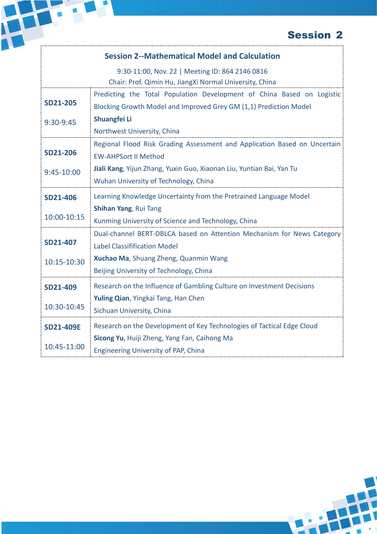#### **Session 2--Mathematical Model and Calculation**

H

|                  | 9:30-11:00, Nov. 22   Meeting ID: 864 2146 0816                           |
|------------------|---------------------------------------------------------------------------|
|                  | Chair: Prof. Qimin Hu, JiangXi Normal University, China                   |
|                  | Predicting the Total Population Development of China Based on Logistic    |
| <b>SD21-205</b>  | Blocking Growth Model and Improved Grey GM (1,1) Prediction Model         |
| 9:30-9:45        | Shuangfei Li                                                              |
|                  | Northwest University, China                                               |
|                  | Regional Flood Risk Grading Assessment and Application Based on Uncertain |
| <b>SD21-206</b>  | <b>EW-AHPSort II Method</b>                                               |
| 9:45-10:00       | Jiali Kang, Yijun Zhang, Yuxin Guo, Xiaonan Liu, Yuntian Bai, Yan Tu      |
|                  | Wuhan University of Technology, China                                     |
| <b>SD21-406</b>  | Learning Knowledge Uncertainty from the Pretrained Language Model         |
|                  | Shihan Yang, Rui Tang                                                     |
| 10:00-10:15      | Kunming University of Science and Technology, China                       |
|                  | Dual-channel BERT-DBLCA based on Attention Mechanism for News Category    |
| SD21-407         | <b>Label Classifification Model</b>                                       |
| 10:15-10:30      | Xuchao Ma, Shuang Zheng, Quanmin Wang                                     |
|                  | Beijing University of Technology, China                                   |
| SD21-409         | Research on the Influence of Gambling Culture on Investment Decisions     |
|                  | Yuling Qian, Yingkai Tang, Han Chen                                       |
| 10:30-10:45      | Sichuan University, China                                                 |
| <b>SD21-409E</b> | Research on the Development of Key Technologies of Tactical Edge Cloud    |
|                  | Sicong Yu, Huiji Zheng, Yang Fan, Caihong Ma                              |
| 10:45-11:00      | Engineering University of PAP, China                                      |
|                  |                                                                           |

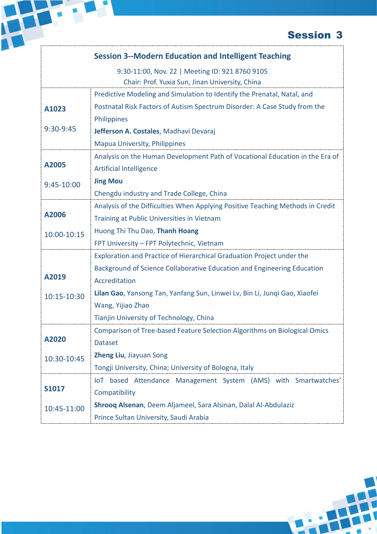|              | <b>Session 3--Modern Education and Intelligent Teaching</b>                    |
|--------------|--------------------------------------------------------------------------------|
|              | 9:30-11:00, Nov. 22   Meeting ID: 921 8760 9105                                |
|              | Chair: Prof. Yuxia Sun, Jinan University, China                                |
|              | Predictive Modeling and Simulation to Identify the Prenatal, Natal, and        |
| A1023        | Postnatal Risk Factors of Autism Spectrum Disorder: A Case Study from the      |
|              | Philippines                                                                    |
| 9:30-9:45    | Jefferson A. Costales, Madhavi Devaraj                                         |
|              | <b>Mapua University, Philippines</b>                                           |
|              | Analysis on the Human Development Path of Vocational Education in the Era of   |
| A2005        | <b>Artificial Intelligence</b>                                                 |
| 9:45-10:00   | <b>Jing Mou</b>                                                                |
|              | Chengdu industry and Trade College, China                                      |
|              | Analysis of the Difficulties When Applying Positive Teaching Methods in Credit |
| A2006        | Training at Public Universities in Vietnam                                     |
| 10:00-10:15  | Huong Thi Thu Dao, Thanh Hoang                                                 |
|              | FPT University - FPT Polytechnic, Vietnam                                      |
|              | Exploration and Practice of Hierarchical Graduation Project under the          |
|              | Background of Science Collaborative Education and Engineering Education        |
| A2019        | Accreditation                                                                  |
| 10:15-10:30  | Lilan Gao, Yansong Tan, Yanfang Sun, Linwei Lv, Bin Li, Junqi Gao, Xiaofei     |
|              | Wang, Yijiao Zhao                                                              |
|              | Tianjin University of Technology, China                                        |
|              | Comparison of Tree-based Feature Selection Algorithms on Biological Omics      |
| A2020        | <b>Dataset</b>                                                                 |
| 10:30-10:45  | Zheng Liu, Jiayuan Song                                                        |
|              | Tongji University, China; University of Bologna, Italy                         |
|              | IoT based Attendance Management System (AMS) with Smartwatches'                |
| <b>S1017</b> | Compatibility                                                                  |
| 10:45-11:00  | Shroog Alsenan, Deem Aljameel, Sara Alsinan, Dalal Al-Abdulaziz                |
|              | Prince Sultan University, Saudi Arabia                                         |

H

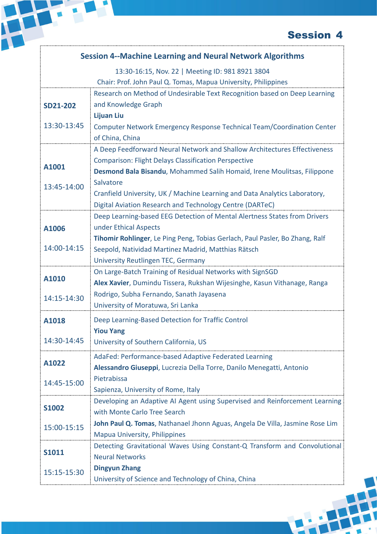|                 | <b>Session 4--Machine Learning and Neural Network Algorithms</b>             |
|-----------------|------------------------------------------------------------------------------|
|                 | 13:30-16:15, Nov. 22   Meeting ID: 981 8921 3804                             |
|                 | Chair: Prof. John Paul Q. Tomas, Mapua University, Philippines               |
|                 | Research on Method of Undesirable Text Recognition based on Deep Learning    |
| <b>SD21-202</b> | and Knowledge Graph                                                          |
|                 | <b>Lijuan Liu</b>                                                            |
| 13:30-13:45     | Computer Network Emergency Response Technical Team/Coordination Center       |
|                 | of China, China                                                              |
|                 | A Deep Feedforward Neural Network and Shallow Architectures Effectiveness    |
|                 | <b>Comparison: Flight Delays Classification Perspective</b>                  |
| A1001           | Desmond Bala Bisandu, Mohammed Salih Homaid, Irene Moulitsas, Filippone      |
| 13:45-14:00     | Salvatore                                                                    |
|                 | Cranfield University, UK / Machine Learning and Data Analytics Laboratory,   |
|                 | Digital Aviation Research and Technology Centre (DARTeC)                     |
|                 | Deep Learning-based EEG Detection of Mental Alertness States from Drivers    |
| A1006           | under Ethical Aspects                                                        |
|                 | Tihomir Rohlinger, Le Ping Peng, Tobias Gerlach, Paul Pasler, Bo Zhang, Ralf |
| 14:00-14:15     | Seepold, Natividad Martinez Madrid, Matthias Rätsch                          |
|                 | University Reutlingen TEC, Germany                                           |
|                 | On Large-Batch Training of Residual Networks with SignSGD                    |
| A1010           | Alex Xavier, Dumindu Tissera, Rukshan Wijesinghe, Kasun Vithanage, Ranga     |
| 14:15-14:30     | Rodrigo, Subha Fernando, Sanath Jayasena                                     |
|                 | University of Moratuwa, Sri Lanka                                            |
| A1018           | Deep Learning-Based Detection for Traffic Control                            |
|                 | <b>Yiou Yang</b>                                                             |
| 14:30-14:45     | University of Southern California, US                                        |
|                 |                                                                              |
| A1022           | AdaFed: Performance-based Adaptive Federated Learning                        |
|                 | Alessandro Giuseppi, Lucrezia Della Torre, Danilo Menegatti, Antonio         |
| 14:45-15:00     | Pietrabissa                                                                  |
|                 | Sapienza, University of Rome, Italy                                          |
| <b>S1002</b>    | Developing an Adaptive AI Agent using Supervised and Reinforcement Learning  |
|                 | with Monte Carlo Tree Search                                                 |
| 15:00-15:15     | John Paul Q. Tomas, Nathanael Jhonn Aguas, Angela De Villa, Jasmine Rose Lim |
|                 | <b>Mapua University, Philippines</b>                                         |
| <b>S1011</b>    | Detecting Gravitational Waves Using Constant-Q Transform and Convolutional   |
|                 | <b>Neural Networks</b>                                                       |
| 15:15-15:30     | <b>Dingyun Zhang</b>                                                         |
|                 | University of Science and Technology of China, China                         |

H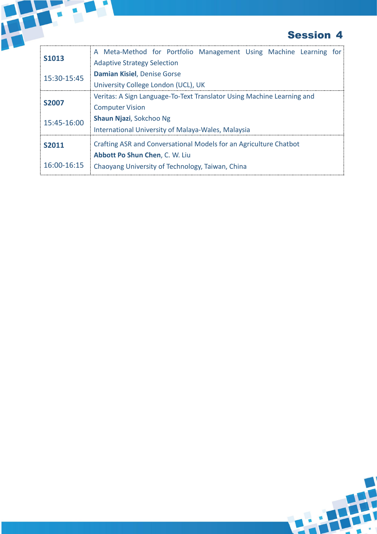

|              | <b>Session 4</b>                                                       |
|--------------|------------------------------------------------------------------------|
|              | A Meta-Method for Portfolio Management Using Machine Learning for      |
| <b>S1013</b> | <b>Adaptive Strategy Selection</b>                                     |
| 15:30-15:45  | Damian Kisiel, Denise Gorse                                            |
|              | University College London (UCL), UK                                    |
|              | Veritas: A Sign Language-To-Text Translator Using Machine Learning and |
| <b>S2007</b> | <b>Computer Vision</b>                                                 |
| 15:45-16:00  | Shaun Njazi, Sokchoo Ng                                                |
|              | International University of Malaya-Wales, Malaysia                     |
| S2011        | Crafting ASR and Conversational Models for an Agriculture Chatbot      |
|              | Abbott Po Shun Chen, C. W. Liu                                         |
| 16:00-16:15  |                                                                        |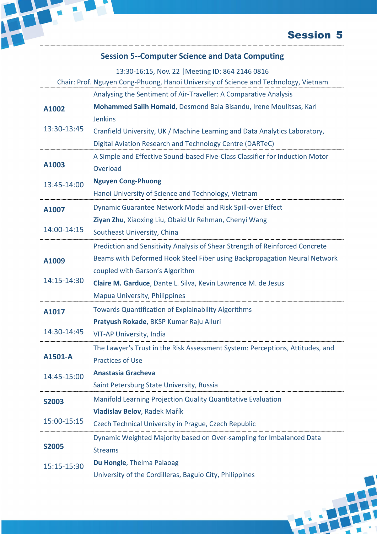|              | <b>Session 5--Computer Science and Data Computing</b>                                |
|--------------|--------------------------------------------------------------------------------------|
|              | 13:30-16:15, Nov. 22   Meeting ID: 864 2146 0816                                     |
|              | Chair: Prof. Nguyen Cong-Phuong, Hanoi University of Science and Technology, Vietnam |
|              | Analysing the Sentiment of Air-Traveller: A Comparative Analysis                     |
| A1002        | Mohammed Salih Homaid, Desmond Bala Bisandu, Irene Moulitsas, Karl                   |
|              | <b>Jenkins</b>                                                                       |
| 13:30-13:45  | Cranfield University, UK / Machine Learning and Data Analytics Laboratory,           |
|              | Digital Aviation Research and Technology Centre (DARTeC)                             |
|              | A Simple and Effective Sound-based Five-Class Classifier for Induction Motor         |
| A1003        | Overload                                                                             |
| 13:45-14:00  | <b>Nguyen Cong-Phuong</b>                                                            |
|              | Hanoi University of Science and Technology, Vietnam                                  |
| A1007        | Dynamic Guarantee Network Model and Risk Spill-over Effect                           |
|              | Ziyan Zhu, Xiaoxing Liu, Obaid Ur Rehman, Chenyi Wang                                |
| 14:00-14:15  | Southeast University, China                                                          |
|              | Prediction and Sensitivity Analysis of Shear Strength of Reinforced Concrete         |
| A1009        | Beams with Deformed Hook Steel Fiber using Backpropagation Neural Network            |
|              | coupled with Garson's Algorithm                                                      |
| 14:15-14:30  | Claire M. Garduce, Dante L. Silva, Kevin Lawrence M. de Jesus                        |
|              | <b>Mapua University, Philippines</b>                                                 |
| A1017        | <b>Towards Quantification of Explainability Algorithms</b>                           |
|              | Pratyush Rokade, BKSP Kumar Raju Alluri                                              |
| 14:30-14:45  | VIT-AP University, India                                                             |
|              | The Lawyer's Trust in the Risk Assessment System: Perceptions, Attitudes, and        |
| A1501-A      | <b>Practices of Use</b>                                                              |
| 14:45-15:00  | <b>Anastasia Gracheva</b>                                                            |
|              | Saint Petersburg State University, Russia                                            |
| <b>S2003</b> | Manifold Learning Projection Quality Quantitative Evaluation                         |
|              | Vladislav Belov, Radek Mařík                                                         |
| 15:00-15:15  | Czech Technical University in Prague, Czech Republic                                 |
|              | Dynamic Weighted Majority based on Over-sampling for Imbalanced Data                 |
| <b>S2005</b> | <b>Streams</b>                                                                       |
| 15:15-15:30  | Du Hongle, Thelma Palaoag                                                            |
|              | University of the Cordilleras, Baguio City, Philippines                              |

H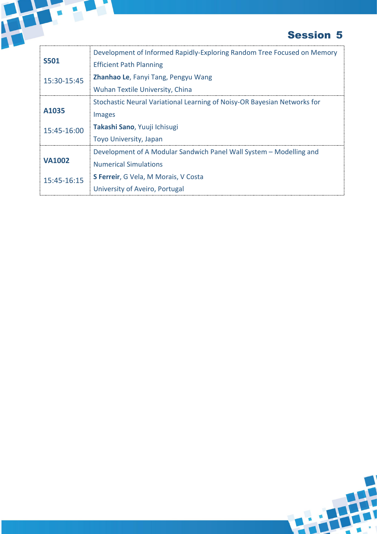

|               | Development of Informed Rapidly-Exploring Random Tree Focused on Memory  |  |
|---------------|--------------------------------------------------------------------------|--|
| <b>S501</b>   | <b>Efficient Path Planning</b>                                           |  |
| 15:30-15:45   | Zhanhao Le, Fanyi Tang, Pengyu Wang                                      |  |
|               | Wuhan Textile University, China                                          |  |
|               | Stochastic Neural Variational Learning of Noisy-OR Bayesian Networks for |  |
| A1035         | <b>Images</b>                                                            |  |
| 15:45-16:00   | Takashi Sano, Yuuji Ichisugi                                             |  |
|               | <b>Toyo University, Japan</b>                                            |  |
|               | Development of A Modular Sandwich Panel Wall System - Modelling and      |  |
| <b>VA1002</b> | <b>Numerical Simulations</b>                                             |  |
| 15:45-16:15   | S Ferreir, G Vela, M Morais, V Costa                                     |  |
|               | University of Aveiro, Portugal                                           |  |

H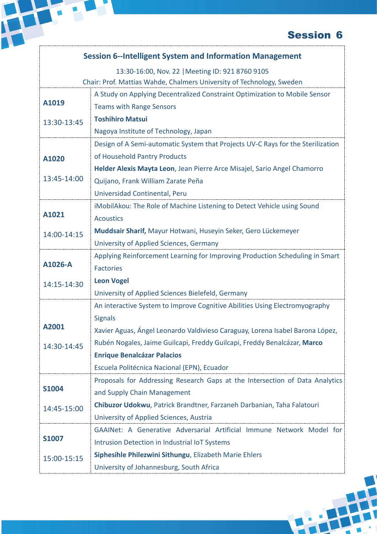|              | <b>Session 6--Intelligent System and Information Management</b>                 |
|--------------|---------------------------------------------------------------------------------|
|              | 13:30-16:00, Nov. 22   Meeting ID: 921 8760 9105                                |
|              | Chair: Prof. Mattias Wahde, Chalmers University of Technology, Sweden           |
|              | A Study on Applying Decentralized Constraint Optimization to Mobile Sensor      |
| A1019        | <b>Teams with Range Sensors</b>                                                 |
| 13:30-13:45  | <b>Toshihiro Matsui</b>                                                         |
|              | Nagoya Institute of Technology, Japan                                           |
|              | Design of A Semi-automatic System that Projects UV-C Rays for the Sterilization |
| A1020        | of Household Pantry Products                                                    |
|              | Helder Alexis Mayta Leon, Jean Pierre Arce Misajel, Sario Angel Chamorro        |
| 13:45-14:00  | Quijano, Frank William Zarate Peña                                              |
|              | Universidad Continental, Peru                                                   |
|              | iMobilAkou: The Role of Machine Listening to Detect Vehicle using Sound         |
| A1021        | <b>Acoustics</b>                                                                |
| 14:00-14:15  | Muddsair Sharif, Mayur Hotwani, Huseyin Seker, Gero Lückemeyer                  |
|              | University of Applied Sciences, Germany                                         |
|              | Applying Reinforcement Learning for Improving Production Scheduling in Smart    |
| A1026-A      | <b>Factories</b>                                                                |
| 14:15-14:30  | <b>Leon Vogel</b>                                                               |
|              | University of Applied Sciences Bielefeld, Germany                               |
|              | An interactive System to Improve Cognitive Abilities Using Electromyography     |
|              | <b>Signals</b>                                                                  |
| A2001        | Xavier Aguas, Ángel Leonardo Valdivieso Caraguay, Lorena Isabel Barona López,   |
| 14:30-14:45  | Rubén Nogales, Jaime Guilcapi, Freddy Guilcapi, Freddy Benalcázar, Marco        |
|              | <b>Enrique Benalcázar Palacios</b>                                              |
|              | Escuela Politécnica Nacional (EPN), Ecuador                                     |
| <b>S1004</b> | Proposals for Addressing Research Gaps at the Intersection of Data Analytics    |
|              | and Supply Chain Management                                                     |
| 14:45-15:00  | Chibuzor Udokwu, Patrick Brandtner, Farzaneh Darbanian, Taha Falatouri          |
|              | University of Applied Sciences, Austria                                         |
|              | GAAINet: A Generative Adversarial Artificial Immune Network Model for           |
| <b>S1007</b> | Intrusion Detection in Industrial IoT Systems                                   |
| 15:00-15:15  | Siphesihle Philezwini Sithungu, Elizabeth Marie Ehlers                          |
|              | University of Johannesburg, South Africa                                        |
|              |                                                                                 |

中

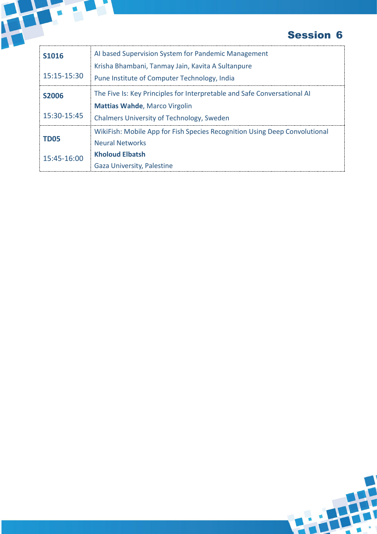

|              | <b>Session 6</b>                                                           |
|--------------|----------------------------------------------------------------------------|
| <b>S1016</b> | AI based Supervision System for Pandemic Management                        |
|              | Krisha Bhambani, Tanmay Jain, Kavita A Sultanpure                          |
| 15:15-15:30  | Pune Institute of Computer Technology, India                               |
| <b>S2006</b> | The Five Is: Key Principles for Interpretable and Safe Conversational AI   |
|              | <b>Mattias Wahde, Marco Virgolin</b>                                       |
| 15:30-15:45  | <b>Chalmers University of Technology, Sweden</b>                           |
|              | WikiFish: Mobile App for Fish Species Recognition Using Deep Convolutional |
| <b>TD05</b>  | <b>Neural Networks</b>                                                     |
| 15:45-16:00  | <b>Kholoud Elbatsh</b>                                                     |
|              | Gaza University, Palestine                                                 |

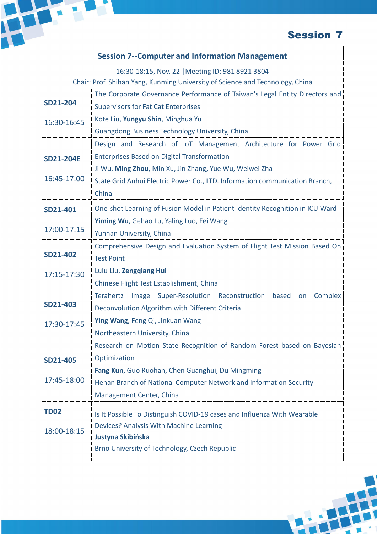### **Session 7--Computer and Information Management**

|                  | 16:30-18:15, Nov. 22   Meeting ID: 981 8921 3804                              |
|------------------|-------------------------------------------------------------------------------|
|                  | Chair: Prof. Shihan Yang, Kunming University of Science and Technology, China |
|                  | The Corporate Governance Performance of Taiwan's Legal Entity Directors and   |
| <b>SD21-204</b>  | <b>Supervisors for Fat Cat Enterprises</b>                                    |
| 16:30-16:45      | Kote Liu, Yungyu Shin, Minghua Yu                                             |
|                  | <b>Guangdong Business Technology University, China</b>                        |
|                  | Design and Research of IoT Management Architecture for Power Grid             |
| <b>SD21-204E</b> | <b>Enterprises Based on Digital Transformation</b>                            |
|                  | Ji Wu, Ming Zhou, Min Xu, Jin Zhang, Yue Wu, Weiwei Zha                       |
| 16:45-17:00      | State Grid Anhui Electric Power Co., LTD. Information communication Branch,   |
|                  | China                                                                         |
| SD21-401         | One-shot Learning of Fusion Model in Patient Identity Recognition in ICU Ward |
|                  | Yiming Wu, Gehao Lu, Yaling Luo, Fei Wang                                     |
| 17:00-17:15      | Yunnan University, China                                                      |
| <b>SD21-402</b>  | Comprehensive Design and Evaluation System of Flight Test Mission Based On    |
|                  | <b>Test Point</b>                                                             |
| 17:15-17:30      | Lulu Liu, Zengqiang Hui                                                       |
|                  | Chinese Flight Test Establishment, China                                      |
|                  | Terahertz Image Super-Resolution Reconstruction based on Complex              |
| <b>SD21-403</b>  | Deconvolution Algorithm with Different Criteria                               |
| 17:30-17:45      | Ying Wang, Feng Qi, Jinkuan Wang                                              |
|                  | Northeastern University, China                                                |
|                  | Research on Motion State Recognition of Random Forest based on Bayesian       |
| <b>SD21-405</b>  | Optimization                                                                  |
| 17:45-18:00      | Fang Kun, Guo Ruohan, Chen Guanghui, Du Mingming                              |
|                  | Henan Branch of National Computer Network and Information Security            |
|                  | Management Center, China                                                      |
| <b>TD02</b>      | Is It Possible To Distinguish COVID-19 cases and Influenza With Wearable      |
|                  | Devices? Analysis With Machine Learning                                       |
| 18:00-18:15      | Justyna Skibińska                                                             |
|                  | Brno University of Technology, Czech Republic                                 |
|                  |                                                                               |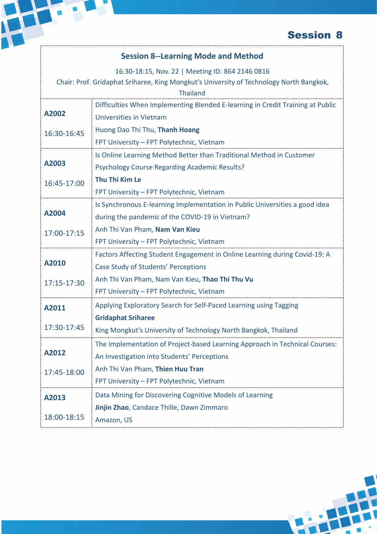#### **Session 8--Learning Mode and Method**

H

16:30-18:15, Nov. 22 | Meeting ID: 864 2146 0816

Chair: Prof. Gridaphat Sriharee, King Mongkut's University of Technology North Bangkok,

|             | <b>Thailand</b>                                                                |
|-------------|--------------------------------------------------------------------------------|
| A2002       | Difficulties When Implementing Blended E-learning in Credit Training at Public |
|             | <b>Universities in Vietnam</b>                                                 |
| 16:30-16:45 | Huong Dao Thi Thu, Thanh Hoang                                                 |
|             | FPT University - FPT Polytechnic, Vietnam                                      |
|             | Is Online Learning Method Better than Traditional Method in Customer           |
| A2003       | <b>Psychology Course Regarding Academic Results?</b>                           |
| 16:45-17:00 | Thu Thi Kim Le                                                                 |
|             | FPT University - FPT Polytechnic, Vietnam                                      |
|             | Is Synchronous E-learning Implementation in Public Universities a good idea    |
| A2004       | during the pandemic of the COVID-19 in Vietnam?                                |
| 17:00-17:15 | Anh Thi Van Pham, Nam Van Kieu                                                 |
|             | FPT University - FPT Polytechnic, Vietnam                                      |
|             | Factors Affecting Student Engagement in Online Learning during Covid-19: A     |
| A2010       | Case Study of Students' Perceptions                                            |
| 17:15-17:30 | Anh Thi Van Pham, Nam Van Kieu, Thao Thi Thu Vu                                |
|             | FPT University - FPT Polytechnic, Vietnam                                      |
| A2011       | Applying Exploratory Search for Self-Paced Learning using Tagging              |
|             | <b>Gridaphat Sriharee</b>                                                      |
| 17:30-17:45 | King Mongkut's University of Technology North Bangkok, Thailand                |
| A2012       | The Implementation of Project-based Learning Approach in Technical Courses:    |
|             | An Investigation into Students' Perceptions                                    |
| 17:45-18:00 | Anh Thi Van Pham, Thien Huu Tran                                               |
|             | FPT University - FPT Polytechnic, Vietnam                                      |
| A2013       | Data Mining for Discovering Cognitive Models of Learning                       |
|             | Jinjin Zhao, Candace Thille, Dawn Zimmaro                                      |
| 18:00-18:15 | Amazon, US                                                                     |
|             |                                                                                |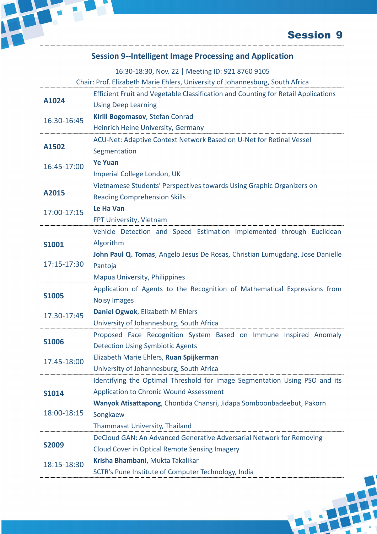| 16:30-18:30, Nov. 22   Meeting ID: 921 8760 9105<br>Chair: Prof. Elizabeth Marie Ehlers, University of Johannesburg, South Africa<br>Efficient Fruit and Vegetable Classification and Counting for Retail Applications<br>A1024<br><b>Using Deep Learning</b><br>Kirill Bogomasov, Stefan Conrad<br>16:30-16:45<br>Heinrich Heine University, Germany<br>ACU-Net: Adaptive Context Network Based on U-Net for Retinal Vessel<br>Segmentation<br><b>Ye Yuan</b><br>16:45-17:00<br>Imperial College London, UK<br>Vietnamese Students' Perspectives towards Using Graphic Organizers on<br><b>Reading Comprehension Skills</b><br>Le Ha Van<br>17:00-17:15<br>FPT University, Vietnam<br>Vehicle Detection and Speed Estimation Implemented through Euclidean<br>Algorithm<br>John Paul Q. Tomas, Angelo Jesus De Rosas, Christian Lumugdang, Jose Danielle<br>Pantoja<br><b>Mapua University, Philippines</b><br>Application of Agents to the Recognition of Mathematical Expressions from<br><b>Noisy Images</b><br>Daniel Ogwok, Elizabeth M Ehlers<br>17:30-17:45<br>University of Johannesburg, South Africa<br>Proposed Face Recognition System Based on Immune Inspired Anomaly<br><b>Detection Using Symbiotic Agents</b><br>Elizabeth Marie Ehlers, Ruan Spijkerman<br>University of Johannesburg, South Africa<br>Identifying the Optimal Threshold for Image Segmentation Using PSO and its<br><b>Application to Chronic Wound Assessment</b><br>Wanyok Atisattapong, Chontida Chansri, Jidapa Somboonbadeebut, Pakorn<br>Songkaew<br><b>Thammasat University, Thailand</b><br>DeCloud GAN: An Advanced Generative Adversarial Network for Removing<br><b>Cloud Cover in Optical Remote Sensing Imagery</b><br>Krisha Bhambani, Mukta Takalikar |              | <b>Session 9--Intelligent Image Processing and Application</b> |
|----------------------------------------------------------------------------------------------------------------------------------------------------------------------------------------------------------------------------------------------------------------------------------------------------------------------------------------------------------------------------------------------------------------------------------------------------------------------------------------------------------------------------------------------------------------------------------------------------------------------------------------------------------------------------------------------------------------------------------------------------------------------------------------------------------------------------------------------------------------------------------------------------------------------------------------------------------------------------------------------------------------------------------------------------------------------------------------------------------------------------------------------------------------------------------------------------------------------------------------------------------------------------------------------------------------------------------------------------------------------------------------------------------------------------------------------------------------------------------------------------------------------------------------------------------------------------------------------------------------------------------------------------------------------------------------------------------------------------------------------------------|--------------|----------------------------------------------------------------|
|                                                                                                                                                                                                                                                                                                                                                                                                                                                                                                                                                                                                                                                                                                                                                                                                                                                                                                                                                                                                                                                                                                                                                                                                                                                                                                                                                                                                                                                                                                                                                                                                                                                                                                                                                          |              |                                                                |
|                                                                                                                                                                                                                                                                                                                                                                                                                                                                                                                                                                                                                                                                                                                                                                                                                                                                                                                                                                                                                                                                                                                                                                                                                                                                                                                                                                                                                                                                                                                                                                                                                                                                                                                                                          |              |                                                                |
|                                                                                                                                                                                                                                                                                                                                                                                                                                                                                                                                                                                                                                                                                                                                                                                                                                                                                                                                                                                                                                                                                                                                                                                                                                                                                                                                                                                                                                                                                                                                                                                                                                                                                                                                                          |              |                                                                |
|                                                                                                                                                                                                                                                                                                                                                                                                                                                                                                                                                                                                                                                                                                                                                                                                                                                                                                                                                                                                                                                                                                                                                                                                                                                                                                                                                                                                                                                                                                                                                                                                                                                                                                                                                          |              |                                                                |
|                                                                                                                                                                                                                                                                                                                                                                                                                                                                                                                                                                                                                                                                                                                                                                                                                                                                                                                                                                                                                                                                                                                                                                                                                                                                                                                                                                                                                                                                                                                                                                                                                                                                                                                                                          |              |                                                                |
|                                                                                                                                                                                                                                                                                                                                                                                                                                                                                                                                                                                                                                                                                                                                                                                                                                                                                                                                                                                                                                                                                                                                                                                                                                                                                                                                                                                                                                                                                                                                                                                                                                                                                                                                                          |              |                                                                |
|                                                                                                                                                                                                                                                                                                                                                                                                                                                                                                                                                                                                                                                                                                                                                                                                                                                                                                                                                                                                                                                                                                                                                                                                                                                                                                                                                                                                                                                                                                                                                                                                                                                                                                                                                          |              |                                                                |
|                                                                                                                                                                                                                                                                                                                                                                                                                                                                                                                                                                                                                                                                                                                                                                                                                                                                                                                                                                                                                                                                                                                                                                                                                                                                                                                                                                                                                                                                                                                                                                                                                                                                                                                                                          | A1502        |                                                                |
|                                                                                                                                                                                                                                                                                                                                                                                                                                                                                                                                                                                                                                                                                                                                                                                                                                                                                                                                                                                                                                                                                                                                                                                                                                                                                                                                                                                                                                                                                                                                                                                                                                                                                                                                                          |              |                                                                |
|                                                                                                                                                                                                                                                                                                                                                                                                                                                                                                                                                                                                                                                                                                                                                                                                                                                                                                                                                                                                                                                                                                                                                                                                                                                                                                                                                                                                                                                                                                                                                                                                                                                                                                                                                          |              |                                                                |
|                                                                                                                                                                                                                                                                                                                                                                                                                                                                                                                                                                                                                                                                                                                                                                                                                                                                                                                                                                                                                                                                                                                                                                                                                                                                                                                                                                                                                                                                                                                                                                                                                                                                                                                                                          | A2015        |                                                                |
|                                                                                                                                                                                                                                                                                                                                                                                                                                                                                                                                                                                                                                                                                                                                                                                                                                                                                                                                                                                                                                                                                                                                                                                                                                                                                                                                                                                                                                                                                                                                                                                                                                                                                                                                                          |              |                                                                |
|                                                                                                                                                                                                                                                                                                                                                                                                                                                                                                                                                                                                                                                                                                                                                                                                                                                                                                                                                                                                                                                                                                                                                                                                                                                                                                                                                                                                                                                                                                                                                                                                                                                                                                                                                          |              |                                                                |
|                                                                                                                                                                                                                                                                                                                                                                                                                                                                                                                                                                                                                                                                                                                                                                                                                                                                                                                                                                                                                                                                                                                                                                                                                                                                                                                                                                                                                                                                                                                                                                                                                                                                                                                                                          |              |                                                                |
|                                                                                                                                                                                                                                                                                                                                                                                                                                                                                                                                                                                                                                                                                                                                                                                                                                                                                                                                                                                                                                                                                                                                                                                                                                                                                                                                                                                                                                                                                                                                                                                                                                                                                                                                                          |              |                                                                |
|                                                                                                                                                                                                                                                                                                                                                                                                                                                                                                                                                                                                                                                                                                                                                                                                                                                                                                                                                                                                                                                                                                                                                                                                                                                                                                                                                                                                                                                                                                                                                                                                                                                                                                                                                          | <b>S1001</b> |                                                                |
|                                                                                                                                                                                                                                                                                                                                                                                                                                                                                                                                                                                                                                                                                                                                                                                                                                                                                                                                                                                                                                                                                                                                                                                                                                                                                                                                                                                                                                                                                                                                                                                                                                                                                                                                                          |              |                                                                |
|                                                                                                                                                                                                                                                                                                                                                                                                                                                                                                                                                                                                                                                                                                                                                                                                                                                                                                                                                                                                                                                                                                                                                                                                                                                                                                                                                                                                                                                                                                                                                                                                                                                                                                                                                          | 17:15-17:30  |                                                                |
|                                                                                                                                                                                                                                                                                                                                                                                                                                                                                                                                                                                                                                                                                                                                                                                                                                                                                                                                                                                                                                                                                                                                                                                                                                                                                                                                                                                                                                                                                                                                                                                                                                                                                                                                                          |              |                                                                |
|                                                                                                                                                                                                                                                                                                                                                                                                                                                                                                                                                                                                                                                                                                                                                                                                                                                                                                                                                                                                                                                                                                                                                                                                                                                                                                                                                                                                                                                                                                                                                                                                                                                                                                                                                          |              |                                                                |
|                                                                                                                                                                                                                                                                                                                                                                                                                                                                                                                                                                                                                                                                                                                                                                                                                                                                                                                                                                                                                                                                                                                                                                                                                                                                                                                                                                                                                                                                                                                                                                                                                                                                                                                                                          | <b>S1005</b> |                                                                |
|                                                                                                                                                                                                                                                                                                                                                                                                                                                                                                                                                                                                                                                                                                                                                                                                                                                                                                                                                                                                                                                                                                                                                                                                                                                                                                                                                                                                                                                                                                                                                                                                                                                                                                                                                          |              |                                                                |
|                                                                                                                                                                                                                                                                                                                                                                                                                                                                                                                                                                                                                                                                                                                                                                                                                                                                                                                                                                                                                                                                                                                                                                                                                                                                                                                                                                                                                                                                                                                                                                                                                                                                                                                                                          |              |                                                                |
|                                                                                                                                                                                                                                                                                                                                                                                                                                                                                                                                                                                                                                                                                                                                                                                                                                                                                                                                                                                                                                                                                                                                                                                                                                                                                                                                                                                                                                                                                                                                                                                                                                                                                                                                                          |              |                                                                |
|                                                                                                                                                                                                                                                                                                                                                                                                                                                                                                                                                                                                                                                                                                                                                                                                                                                                                                                                                                                                                                                                                                                                                                                                                                                                                                                                                                                                                                                                                                                                                                                                                                                                                                                                                          | <b>S1006</b> |                                                                |
|                                                                                                                                                                                                                                                                                                                                                                                                                                                                                                                                                                                                                                                                                                                                                                                                                                                                                                                                                                                                                                                                                                                                                                                                                                                                                                                                                                                                                                                                                                                                                                                                                                                                                                                                                          | 17:45-18:00  |                                                                |
|                                                                                                                                                                                                                                                                                                                                                                                                                                                                                                                                                                                                                                                                                                                                                                                                                                                                                                                                                                                                                                                                                                                                                                                                                                                                                                                                                                                                                                                                                                                                                                                                                                                                                                                                                          |              |                                                                |
|                                                                                                                                                                                                                                                                                                                                                                                                                                                                                                                                                                                                                                                                                                                                                                                                                                                                                                                                                                                                                                                                                                                                                                                                                                                                                                                                                                                                                                                                                                                                                                                                                                                                                                                                                          |              |                                                                |
|                                                                                                                                                                                                                                                                                                                                                                                                                                                                                                                                                                                                                                                                                                                                                                                                                                                                                                                                                                                                                                                                                                                                                                                                                                                                                                                                                                                                                                                                                                                                                                                                                                                                                                                                                          | <b>S1014</b> |                                                                |
|                                                                                                                                                                                                                                                                                                                                                                                                                                                                                                                                                                                                                                                                                                                                                                                                                                                                                                                                                                                                                                                                                                                                                                                                                                                                                                                                                                                                                                                                                                                                                                                                                                                                                                                                                          |              |                                                                |
|                                                                                                                                                                                                                                                                                                                                                                                                                                                                                                                                                                                                                                                                                                                                                                                                                                                                                                                                                                                                                                                                                                                                                                                                                                                                                                                                                                                                                                                                                                                                                                                                                                                                                                                                                          | 18:00-18:15  |                                                                |
|                                                                                                                                                                                                                                                                                                                                                                                                                                                                                                                                                                                                                                                                                                                                                                                                                                                                                                                                                                                                                                                                                                                                                                                                                                                                                                                                                                                                                                                                                                                                                                                                                                                                                                                                                          |              |                                                                |
|                                                                                                                                                                                                                                                                                                                                                                                                                                                                                                                                                                                                                                                                                                                                                                                                                                                                                                                                                                                                                                                                                                                                                                                                                                                                                                                                                                                                                                                                                                                                                                                                                                                                                                                                                          |              |                                                                |
|                                                                                                                                                                                                                                                                                                                                                                                                                                                                                                                                                                                                                                                                                                                                                                                                                                                                                                                                                                                                                                                                                                                                                                                                                                                                                                                                                                                                                                                                                                                                                                                                                                                                                                                                                          | <b>S2009</b> |                                                                |
|                                                                                                                                                                                                                                                                                                                                                                                                                                                                                                                                                                                                                                                                                                                                                                                                                                                                                                                                                                                                                                                                                                                                                                                                                                                                                                                                                                                                                                                                                                                                                                                                                                                                                                                                                          | 18:15-18:30  |                                                                |
|                                                                                                                                                                                                                                                                                                                                                                                                                                                                                                                                                                                                                                                                                                                                                                                                                                                                                                                                                                                                                                                                                                                                                                                                                                                                                                                                                                                                                                                                                                                                                                                                                                                                                                                                                          |              | SCTR's Pune Institute of Computer Technology, India            |

H

 $\overline{\phantom{a}}$